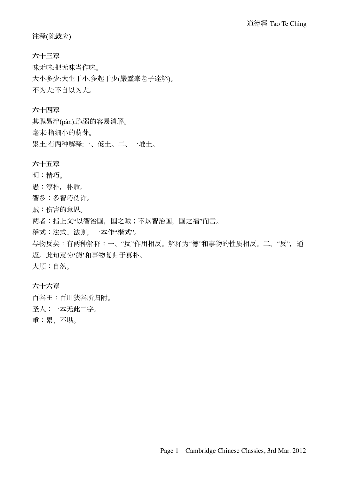注释**(**陈鼓应**)** 

六十三章 味无味:把无味当作味。 大小多少:大生于小,多起于少(嚴靈峯老子達解)。 不为大:不自以为大。

# 六十四章

其脆易泮(pàn):脆弱的容易消解。 毫末:指细小的萌芽。 累土:有两种解释:一、低土。二、一堆土。

# 六十五章

明:精巧。

愚:淳朴,朴质。

智多:多智巧伪诈。

贼:伤害的意思。

两者:指上文"以智治国,国之贼;不以智治国,国之福"而言。

稽式:法式、法则,一本作"楷式"。

与物反矣:有两种解释:一、"反"作用相反。解释为"德"和事物的性质相反。二、"反",通 返。此句意为'德'和事物复归于真朴。 大顺:自然。

# 六十六章

百谷王:百川狭谷所归附。 圣人:一本无此二字。 重:累、不堪。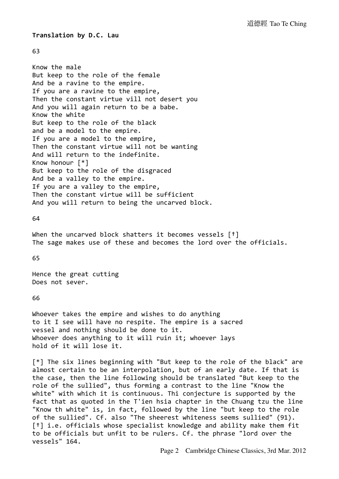## **Translation by D.C. Lau**

### 63

Know the male But keep to the role of the female And be a ravine to the empire. If you are a ravine to the empire, Then the constant virtue vill not desert you And you will again return to be a babe. Know the white But keep to the role of the black and be a model to the empire. If you are a model to the empire, Then the constant virtue will not be wanting And will return to the indefinite. Know honour  $[*]$ But keep to the role of the disgraced And be a valley to the empire. If you are a valley to the empire, Then the constant virtue will be sufficient And you will return to being the uncarved block.

## 64

When the uncarved block shatters it becomes vessels  $[t]$ The sage makes use of these and becomes the lord over the officials.

65

Hence the great cutting Does not sever.

### 66

Whoever takes the empire and wishes to do anything to it I see will have no respite. The empire is a sacred vessel and nothing should be done to it. Whoever does anything to it will ruin it; whoever lays hold of it will lose it.

 $[*]$  The six lines beginning with "But keep to the role of the black" are almost certain to be an interpolation, but of an early date. If that is the case, then the line following should be translated "But keep to the role of the sullied", thus forming a contrast to the line "Know the white" with which it is continuous. Thi conjecture is supported by the fact that as quoted in the T'ien hsia chapter in the Chuang tzu the line "Know th white" is, in fact, followed by the line "but keep to the role of the sullied". Cf. also "The sheerest whiteness seems sullied" (91). [<sup>†</sup>] i.e. officials whose specialist knowledge and ability make them fit to be officials but unfit to be rulers. Cf. the phrase "lord over the vessels" 164.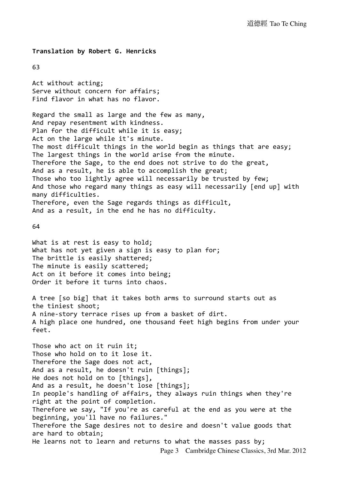**Translation by Robert G. Henricks**

63

Act without acting; Serve without concern for affairs; Find flavor in what has no flavor.

Regard the small as large and the few as many, And repay resentment with kindness. Plan for the difficult while it is easy; Act on the large while it's minute. The most difficult things in the world begin as things that are easy; The largest things in the world arise from the minute. Therefore the Sage, to the end does not strive to do the great, And as a result, he is able to accomplish the great; Those who too lightly agree will necessarily be trusted by few; And those who regard many things as easy will necessarily [end up] with many difficulties. Therefore, even the Sage regards things as difficult, And as a result, in the end he has no difficulty.

64

What is at rest is easy to hold; What has not yet given a sign is easy to plan for; The brittle is easily shattered; The minute is easily scattered; Act on it before it comes into being; Order it before it turns into chaos.

A tree [so big] that it takes both arms to surround starts out as the tiniest shoot; A nine-story terrace rises up from a basket of dirt. A high place one hundred, one thousand feet high begins from under your feet.

Those who act on it ruin it; Those who hold on to it lose it. Therefore the Sage does not act, And as a result, he doesn't ruin [things]; He does not hold on to [things], And as a result, he doesn't lose [things]; In people's handling of affairs, they always ruin things when they're right at the point of completion. Therefore we say, "If you're as careful at the end as you were at the beginning, you'll have no failures." Therefore the Sage desires not to desire and doesn't value goods that are hard to obtain; He learns not to learn and returns to what the masses pass by; Page 3 Cambridge Chinese Classics, 3rd Mar. 2012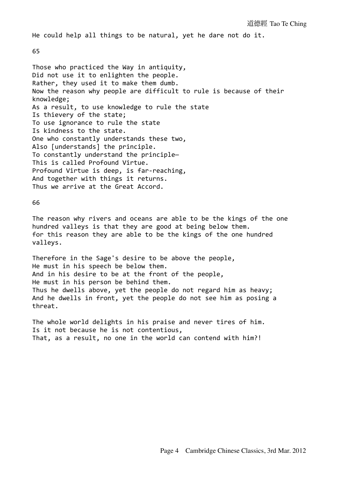He could help all things to be natural, yet he dare not do it.

65

Those who practiced the Way in antiquity, Did not use it to enlighten the people. Rather, they used it to make them dumb. Now the reason why people are difficult to rule is because of their knowledge; As a result, to use knowledge to rule the state Is thievery of the state; To use ignorance to rule the state Is kindness to the state. One who constantly understands these two, Also [understands] the principle. To constantly understand the principle-This is called Profound Virtue. Profound Virtue is deep, is far-reaching, And together with things it returns. Thus we arrive at the Great Accord.

66

The reason why rivers and oceans are able to be the kings of the one hundred valleys is that they are good at being below them. for this reason they are able to be the kings of the one hundred valleys.

Therefore in the Sage's desire to be above the people, He must in his speech be below them. And in his desire to be at the front of the people, He must in his person be behind them. Thus he dwells above, yet the people do not regard him as heavy; And he dwells in front, yet the people do not see him as posing a threat.

The whole world delights in his praise and never tires of him. Is it not because he is not contentious, That, as a result, no one in the world can contend with him?!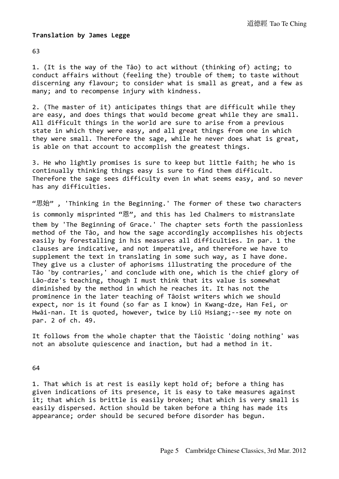## **Translation by James Legge**

63

1. (It is the way of the Tâo) to act without (thinking of) acting; to conduct affairs without (feeling the) trouble of them; to taste without discerning any flavour; to consider what is small as great, and a few as many; and to recompense injury with kindness.

2. (The master of it) anticipates things that are difficult while they are easy, and does things that would become great while they are small. All difficult things in the world are sure to arise from a previous state in which they were easy, and all great things from one in which they were small. Therefore the sage, while he never does what is great, is able on that account to accomplish the greatest things.

3. He who lightly promises is sure to keep but little faith; he who is continually thinking things easy is sure to find them difficult. Therefore the sage sees difficulty even in what seems easy, and so never has any difficulties.

"思始", 'Thinking in the Beginning.' The former of these two characters is commonly misprinted "恩", and this has led Chalmers to mistranslate them by 'The Beginning of Grace.' The chapter sets forth the passionless method of the Tâo, and how the sage accordingly accomplishes his objects easily by forestalling in his measures all difficulties. In par. 1 the clauses are indicative, and not imperative, and therefore we have to supplement the text in translating in some such way, as I have done. They give us a cluster of aphorisms illustrating the procedure of the Tâo 'by contraries,' and conclude with one, which is the chief glory of Lâo-dze's teaching, though I must think that its value is somewhat diminished by the method in which he reaches it. It has not the prominence in the later teaching of Tâoist writers which we should expect, nor is it found (so far as I know) in Kwang-dze, Han Fei, or Hwâi-nan. It is quoted, however, twice by Liû Hsiang; --see my note on par. 2 of ch. 49.

It follows from the whole chapter that the Tâoistic 'doing nothing' was not an absolute quiescence and inaction, but had a method in it.

64

1. That which is at rest is easily kept hold of; before a thing has given indications of its presence, it is easy to take measures against it; that which is brittle is easily broken; that which is very small is easily dispersed. Action should be taken before a thing has made its appearance; order should be secured before disorder has begun.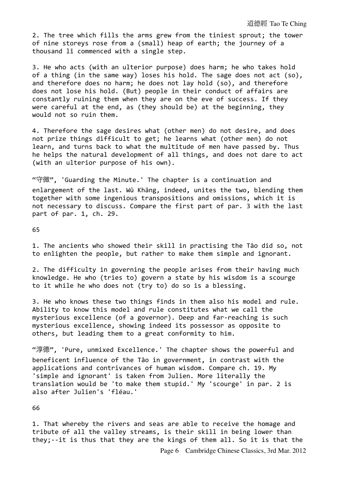#### 道德經 Tao Te Ching

2. The tree which fills the arms grew from the tiniest sprout; the tower of nine storeys rose from a (small) heap of earth; the journey of a thousand lî commenced with a single step.

3. He who acts (with an ulterior purpose) does harm; he who takes hold of a thing (in the same way) loses his hold. The sage does not act (so), and therefore does no harm; he does not lay hold (so), and therefore does not lose his hold. (But) people in their conduct of affairs are constantly ruining them when they are on the eve of success. If they were careful at the end, as (they should be) at the beginning, they would not so ruin them.

4. Therefore the sage desires what (other men) do not desire, and does not prize things difficult to get; he learns what (other men) do not learn, and turns back to what the multitude of men have passed by. Thus he helps the natural development of all things, and does not dare to act (with an ulterior purpose of his own).

"守微", 'Guarding the Minute.' The chapter is a continuation and enlargement of the last. Wû Khäng, indeed, unites the two, blending them together with some ingenious transpositions and omissions, which it is not necessary to discuss. Compare the first part of par. 3 with the last part of par. 1, ch. 29.

65

1. The ancients who showed their skill in practising the Tâo did so, not to enlighten the people, but rather to make them simple and ignorant.

2. The difficulty in governing the people arises from their having much knowledge. He who (tries to) govern a state by his wisdom is a scourge to it while he who does not (try to) do so is a blessing.

3. He who knows these two things finds in them also his model and rule. Ability to know this model and rule constitutes what we call the mysterious excellence (of a governor). Deep and far-reaching is such mysterious excellence, showing indeed its possessor as opposite to others, but leading them to a great conformity to him.

"淳德", 'Pure, unmixed Excellence.' The chapter shows the powerful and beneficent influence of the Tâo in government, in contrast with the applications and contrivances of human wisdom. Compare ch. 19. My 'simple and ignorant' is taken from Julien. More literally the translation would be 'to make them stupid.' My 'scourge' in par. 2 is also after Julien's 'fléau.'

66

1. That whereby the rivers and seas are able to receive the homage and tribute of all the valley streams, is their skill in being lower than they; $-$ it is thus that they are the kings of them all. So it is that the

Page 6 Cambridge Chinese Classics, 3rd Mar. 2012